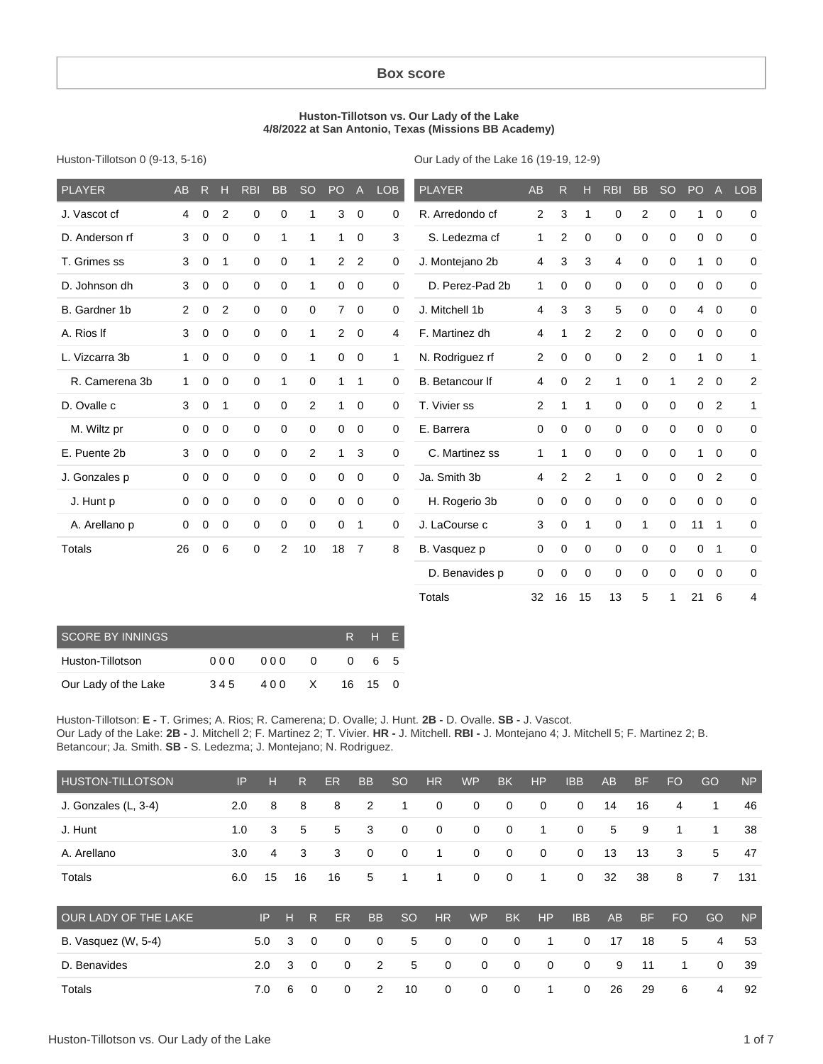#### **Box score**

#### **Huston-Tillotson vs. Our Lady of the Lake 4/8/2022 at San Antonio, Texas (Missions BB Academy)**

Huston-Tillotson 0 (9-13, 5-16)

Our Lady of the Lake 16 (19-19, 12-9)

| <b>PLAYER</b>  | <b>AB</b>   | R.          | н              | <b>RBI</b>  | <b>BB</b>        | <b>SO</b>      | PO             | A              | <b>LOB</b> | <b>PLAYER</b>   | AB             | R              | н           | <b>RBI</b>     | <b>BB</b>      | <b>SO</b> | PO             | $\overline{A}$ | <b>LOB</b>   |
|----------------|-------------|-------------|----------------|-------------|------------------|----------------|----------------|----------------|------------|-----------------|----------------|----------------|-------------|----------------|----------------|-----------|----------------|----------------|--------------|
| J. Vascot cf   | 4           | $\Omega$    | 2              | $\mathbf 0$ | $\mathbf 0$      | 1              | 3              | $\mathbf 0$    | 0          | R. Arredondo cf | $\overline{c}$ | 3              | 1           | 0              | $\overline{2}$ | 0         | $\mathbf{1}$   | $\overline{0}$ | 0            |
| D. Anderson rf | 3           | 0           | 0              | $\mathbf 0$ | 1                | 1              | $\mathbf{1}$   | 0              | 3          | S. Ledezma cf   | 1              | $\overline{2}$ | 0           | $\mathbf 0$    | 0              | 0         | 0              | $\mathbf 0$    | 0            |
| T. Grimes ss   | 3           | 0           | 1              | 0           | 0                | 1              | $\overline{c}$ | 2              | 0          | J. Montejano 2b | 4              | 3              | 3           | 4              | 0              | 0         | $\mathbf{1}$   | $\mathbf 0$    | 0            |
| D. Johnson dh  | 3           | 0           | $\mathbf 0$    | $\mathbf 0$ | $\mathbf 0$      | 1              | 0              | $\mathbf 0$    | 0          | D. Perez-Pad 2b | 1              | 0              | 0           | $\mathbf 0$    | 0              | 0         | 0              | $\mathbf 0$    | $\mathbf 0$  |
| B. Gardner 1b  | 2           | 0           | $\overline{2}$ | $\mathbf 0$ | 0                | 0              | 7              | $\mathbf 0$    | 0          | J. Mitchell 1b  | 4              | 3              | 3           | 5              | 0              | 0         | $\overline{4}$ | $\mathbf 0$    | 0            |
| A. Rios If     | 3           | 0           | 0              | $\mathbf 0$ | 0                | 1              | 2              | 0              | 4          | F. Martinez dh  | 4              | 1              | 2           | $\overline{c}$ | 0              | 0         | 0              | $\mathbf 0$    | 0            |
| L. Vizcarra 3b | 1           | $\mathbf 0$ | $\mathbf 0$    | $\mathbf 0$ | $\mathbf 0$      | 1              | 0              | $\mathbf 0$    | 1          | N. Rodriguez rf | $\overline{2}$ | 0              | $\mathbf 0$ | 0              | $\overline{2}$ | 0         | $\mathbf{1}$   | $\mathbf 0$    | $\mathbf{1}$ |
| R. Camerena 3b | 1           | $\Omega$    | $\Omega$       | $\Omega$    | 1                | $\Omega$       | 1              | $\mathbf{1}$   | 0          | B. Betancour If | 4              | $\Omega$       | 2           | 1              | $\mathbf 0$    | 1         | $\overline{2}$ | $\Omega$       | 2            |
| D. Ovalle c    | 3           | 0           | 1              | $\mathbf 0$ | 0                | $\overline{c}$ | 1              | $\mathbf 0$    | 0          | T. Vivier ss    | $\overline{c}$ | 1              | 1           | $\mathbf 0$    | 0              | $\Omega$  | 0              | $\overline{2}$ | $\mathbf{1}$ |
| M. Wiltz pr    | $\mathbf 0$ | 0           | 0              | $\mathbf 0$ | 0                | $\Omega$       | 0              | $\mathbf 0$    | 0          | E. Barrera      | 0              | 0              | 0           | $\mathbf 0$    | 0              | 0         | 0              | $\mathbf 0$    | 0            |
| E. Puente 2b   | 3           | 0           | $\mathbf 0$    | $\mathbf 0$ | $\mathbf 0$      | $\overline{c}$ | 1              | 3              | 0          | C. Martinez ss  | 1              | 1              | 0           | $\mathbf 0$    | 0              | 0         | $\mathbf{1}$   | $\mathbf 0$    | $\mathbf 0$  |
| J. Gonzales p  | $\mathbf 0$ | 0           | $\Omega$       | $\Omega$    | $\mathbf 0$      | $\Omega$       | 0              | $\mathbf 0$    | 0          | Ja. Smith 3b    | 4              | $\overline{2}$ | 2           | 1              | 0              | 0         | 0              | $\overline{2}$ | $\mathbf 0$  |
| J. Hunt p      | $\mathbf 0$ | 0           | 0              | $\mathbf 0$ | $\boldsymbol{0}$ | 0              | 0              | $\mathbf 0$    | 0          | H. Rogerio 3b   | 0              | 0              | 0           | $\mathbf 0$    | 0              | 0         | 0              | $\Omega$       | 0            |
| A. Arellano p  | 0           | 0           | 0              | $\mathbf 0$ | 0                | 0              | 0              | 1              | 0          | J. LaCourse c   | 3              | 0              | 1           | $\mathbf 0$    | 1              | 0         | 11             | $\overline{1}$ | 0            |
| Totals         | 26          | $\Omega$    | 6              | $\mathbf 0$ | 2                | 10             | 18             | $\overline{7}$ | 8          | B. Vasquez p    | 0              | 0              | 0           | $\mathbf 0$    | 0              | 0         | 0              | $\mathbf 1$    | 0            |
|                |             |             |                |             |                  |                |                |                |            | D. Benavides p  | 0              | 0              | 0           | $\mathbf 0$    | 0              | 0         | 0              | $\Omega$       | 0            |
|                |             |             |                |             |                  |                |                |                |            | Totals          | 32             | 16             | 15          | 13             | 5              | 1         | 21             | 6              | 4            |

| SCORE BY INNINGS     |      | R H F |              |            |         |    |
|----------------------|------|-------|--------------|------------|---------|----|
| Huston-Tillotson     | 00 Q | 000   | $\Omega$     | $^{\circ}$ |         | 65 |
| Our Lady of the Lake | 345  | 400   | $\mathsf{X}$ |            | 16 15 0 |    |

Huston-Tillotson: **E -** T. Grimes; A. Rios; R. Camerena; D. Ovalle; J. Hunt. **2B -** D. Ovalle. **SB -** J. Vascot. Our Lady of the Lake: **2B -** J. Mitchell 2; F. Martinez 2; T. Vivier. **HR -** J. Mitchell. **RBI -** J. Montejano 4; J. Mitchell 5; F. Martinez 2; B. Betancour; Ja. Smith. **SB -** S. Ledezma; J. Montejano; N. Rodriguez.

| <b>HUSTON-TILLOTSON</b> | IP  | н   |    | R.             | ER          | <b>BB</b>      | <sub>SO</sub> | HR        | <b>WP</b>   | <b>BK</b>   | <b>HP</b>   | <b>IBB</b>  | <b>AB</b> | <b>BF</b> | <b>FO</b> | GO          | <b>NP</b> |
|-------------------------|-----|-----|----|----------------|-------------|----------------|---------------|-----------|-------------|-------------|-------------|-------------|-----------|-----------|-----------|-------------|-----------|
| J. Gonzales (L, 3-4)    | 2.0 | 8   |    | 8              | 8           | $\overline{2}$ | 1             | 0         | 0           | $\mathbf 0$ | 0           | $\mathbf 0$ | 14        | 16        | 4         | 1           | 46        |
| J. Hunt                 | 1.0 | 3   |    | 5              | 5           | 3              | 0             | 0         | 0           | $\mathbf 0$ | 1           | $\mathbf 0$ | 5         | 9         | 1         | 1           | 38        |
| A. Arellano             | 3.0 | 4   |    | 3              | 3           | 0              | 0             | 1         | 0           | $\mathbf 0$ | 0           | 0           | 13        | 13        | 3         | 5           | 47        |
| Totals                  | 6.0 | 15  | 16 |                | 16          | 5              | 1             | 1         | 0           | $\mathbf 0$ | 1           | $\mathbf 0$ | 32        | 38        | 8         | 7           | 131       |
| OUR LADY OF THE LAKE    |     | IP. | н  | R              | <b>ER</b>   | <b>BB</b>      | <b>SO</b>     | <b>HR</b> | <b>WP</b>   | <b>BK</b>   | <b>HP</b>   | <b>IBB</b>  | AB        | <b>BF</b> | <b>FO</b> | GO          | <b>NP</b> |
| B. Vasquez (W, 5-4)     |     | 5.0 | 3  | $\overline{0}$ | $\mathbf 0$ | $\mathbf 0$    | 5             | 0         | $\mathbf 0$ | $\mathbf 0$ | 1           | $\mathbf 0$ | 17        | 18        | 5         | 4           | 53        |
| D. Benavides            |     | 2.0 | 3  | $\mathbf 0$    | $\mathbf 0$ | 2              | 5             | 0         | $\mathbf 0$ | $\mathbf 0$ | $\mathbf 0$ | $\mathbf 0$ | 9         | 11        | 1         | $\mathbf 0$ | 39        |
| Totals                  |     | 7.0 | 6  | $\mathbf 0$    | $\mathbf 0$ | 2              | 10            | 0         | $\mathbf 0$ | $\mathbf 0$ | 1           | $\mathbf 0$ | 26        | 29        | 6         | 4           | 92        |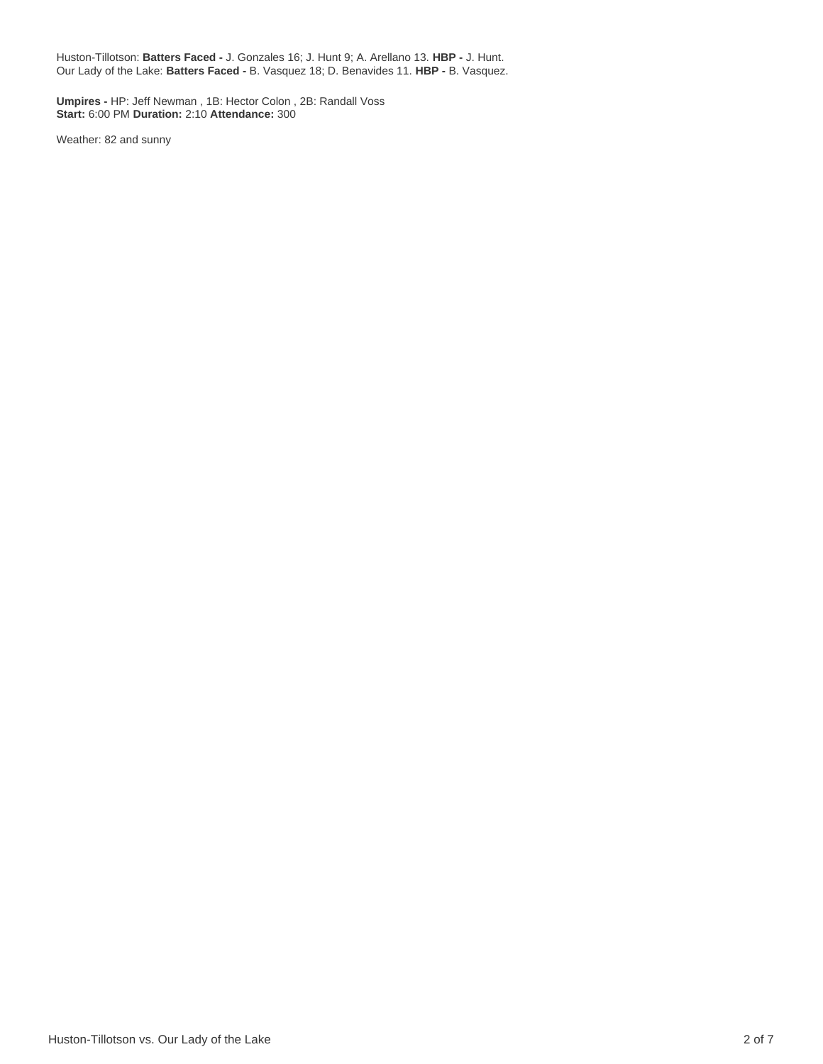Huston-Tillotson: **Batters Faced -** J. Gonzales 16; J. Hunt 9; A. Arellano 13. **HBP -** J. Hunt. Our Lady of the Lake: **Batters Faced -** B. Vasquez 18; D. Benavides 11. **HBP -** B. Vasquez.

**Umpires -** HP: Jeff Newman , 1B: Hector Colon , 2B: Randall Voss **Start:** 6:00 PM **Duration:** 2:10 **Attendance:** 300

Weather: 82 and sunny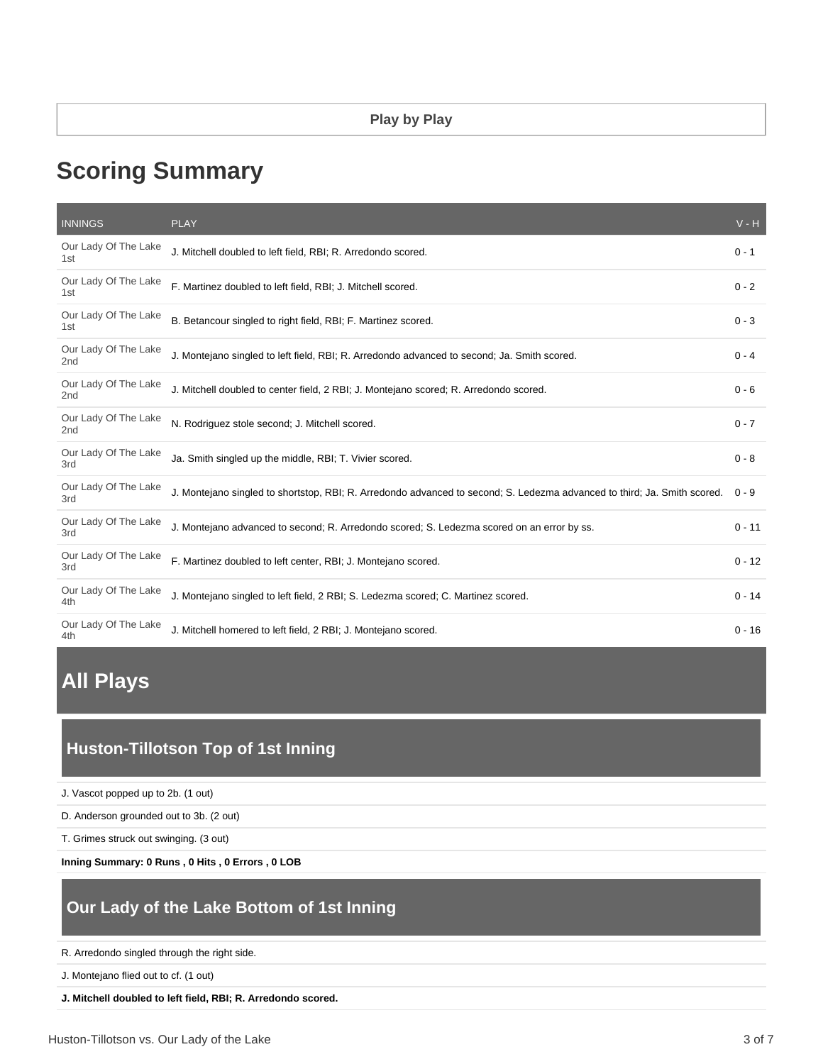# **Scoring Summary**

| <b>INNINGS</b>                          | <b>PLAY</b>                                                                                                              | $V - H$  |
|-----------------------------------------|--------------------------------------------------------------------------------------------------------------------------|----------|
| Our Lady Of The Lake<br>1st             | J. Mitchell doubled to left field, RBI; R. Arredondo scored.                                                             | $0 - 1$  |
| Our Lady Of The Lake<br>1st             | F. Martinez doubled to left field, RBI; J. Mitchell scored.                                                              | $0 - 2$  |
| Our Lady Of The Lake<br>1st             | B. Betancour singled to right field, RBI; F. Martinez scored.                                                            | $0 - 3$  |
| Our Lady Of The Lake<br>2 <sub>nd</sub> | J. Montejano singled to left field, RBI; R. Arredondo advanced to second; Ja. Smith scored.                              | $0 - 4$  |
| Our Lady Of The Lake<br>2 <sub>nd</sub> | J. Mitchell doubled to center field, 2 RBI; J. Montejano scored; R. Arredondo scored.                                    | $0 - 6$  |
| Our Lady Of The Lake<br>2 <sub>nd</sub> | N. Rodriguez stole second; J. Mitchell scored.                                                                           | $0 - 7$  |
| Our Lady Of The Lake<br>3rd             | Ja. Smith singled up the middle, RBI; T. Vivier scored.                                                                  | $0 - 8$  |
| Our Lady Of The Lake<br>3rd             | J. Montejano singled to shortstop, RBI; R. Arredondo advanced to second; S. Ledezma advanced to third; Ja. Smith scored. | $0 - 9$  |
| Our Lady Of The Lake<br>3rd             | J. Montejano advanced to second; R. Arredondo scored; S. Ledezma scored on an error by ss.                               | $0 - 11$ |
| Our Lady Of The Lake<br>3rd             | F. Martinez doubled to left center, RBI; J. Montejano scored.                                                            | $0 - 12$ |
| Our Lady Of The Lake<br>4th             | J. Montejano singled to left field, 2 RBI; S. Ledezma scored; C. Martinez scored.                                        | $0 - 14$ |
| Our Lady Of The Lake<br>4th             | J. Mitchell homered to left field, 2 RBI; J. Montejano scored.                                                           | $0 - 16$ |

# **All Plays**

# **Huston-Tillotson Top of 1st Inning**

J. Vascot popped up to 2b. (1 out)

D. Anderson grounded out to 3b. (2 out)

T. Grimes struck out swinging. (3 out)

**Inning Summary: 0 Runs , 0 Hits , 0 Errors , 0 LOB**

## **Our Lady of the Lake Bottom of 1st Inning**

R. Arredondo singled through the right side.

J. Montejano flied out to cf. (1 out)

**J. Mitchell doubled to left field, RBI; R. Arredondo scored.**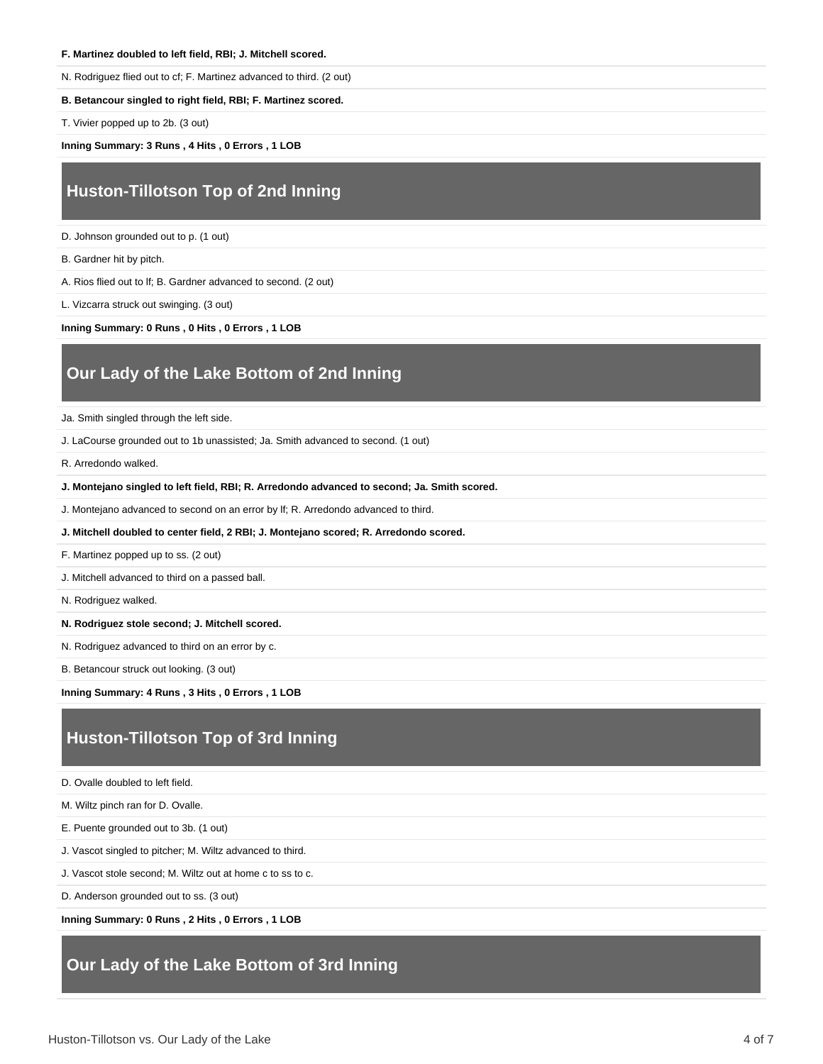#### **F. Martinez doubled to left field, RBI; J. Mitchell scored.**

N. Rodriguez flied out to cf; F. Martinez advanced to third. (2 out)

#### **B. Betancour singled to right field, RBI; F. Martinez scored.**

T. Vivier popped up to 2b. (3 out)

**Inning Summary: 3 Runs , 4 Hits , 0 Errors , 1 LOB**

### **Huston-Tillotson Top of 2nd Inning**

D. Johnson grounded out to p. (1 out)

B. Gardner hit by pitch.

A. Rios flied out to lf; B. Gardner advanced to second. (2 out)

L. Vizcarra struck out swinging. (3 out)

**Inning Summary: 0 Runs , 0 Hits , 0 Errors , 1 LOB**

### **Our Lady of the Lake Bottom of 2nd Inning**

Ja. Smith singled through the left side.

J. LaCourse grounded out to 1b unassisted; Ja. Smith advanced to second. (1 out)

R. Arredondo walked.

#### **J. Montejano singled to left field, RBI; R. Arredondo advanced to second; Ja. Smith scored.**

J. Montejano advanced to second on an error by lf; R. Arredondo advanced to third.

**J. Mitchell doubled to center field, 2 RBI; J. Montejano scored; R. Arredondo scored.**

F. Martinez popped up to ss. (2 out)

J. Mitchell advanced to third on a passed ball.

N. Rodriguez walked.

**N. Rodriguez stole second; J. Mitchell scored.**

N. Rodriguez advanced to third on an error by c.

B. Betancour struck out looking. (3 out)

**Inning Summary: 4 Runs , 3 Hits , 0 Errors , 1 LOB**

### **Huston-Tillotson Top of 3rd Inning**

D. Ovalle doubled to left field.

M. Wiltz pinch ran for D. Ovalle.

E. Puente grounded out to 3b. (1 out)

J. Vascot singled to pitcher; M. Wiltz advanced to third.

J. Vascot stole second; M. Wiltz out at home c to ss to c.

D. Anderson grounded out to ss. (3 out)

**Inning Summary: 0 Runs , 2 Hits , 0 Errors , 1 LOB**

### **Our Lady of the Lake Bottom of 3rd Inning**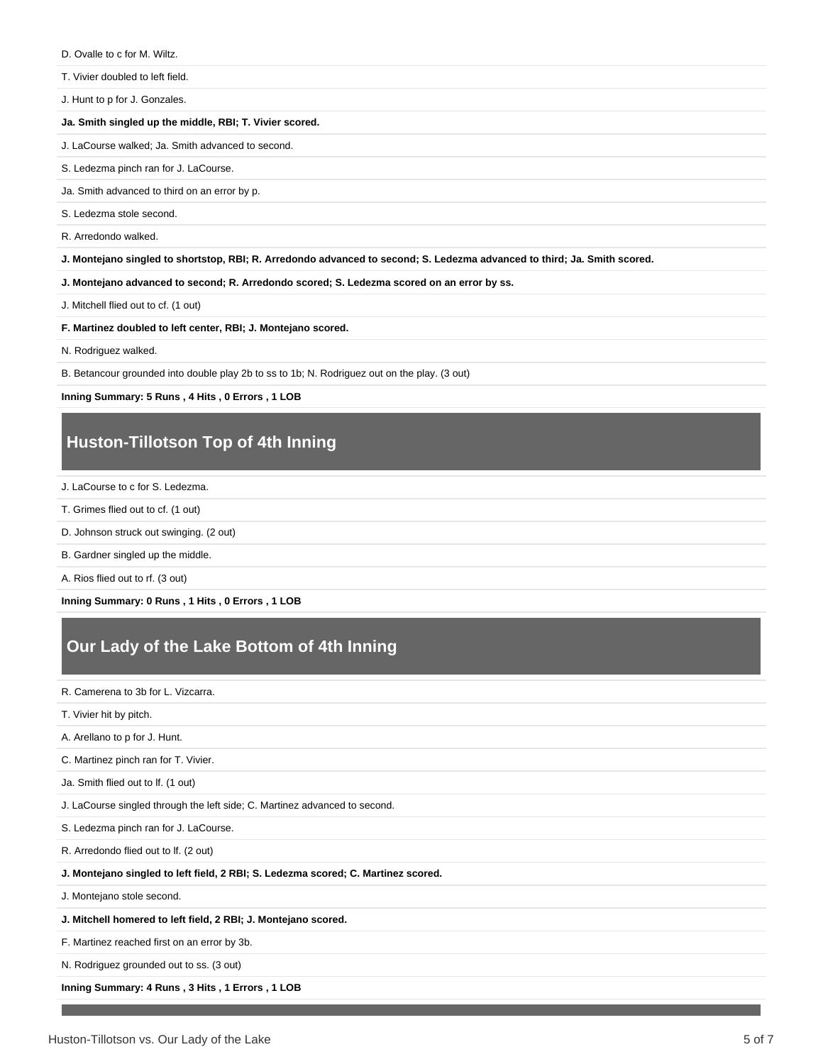D. Ovalle to c for M. Wiltz.

T. Vivier doubled to left field.

J. Hunt to p for J. Gonzales.

#### **Ja. Smith singled up the middle, RBI; T. Vivier scored.**

J. LaCourse walked; Ja. Smith advanced to second.

S. Ledezma pinch ran for J. LaCourse.

Ja. Smith advanced to third on an error by p.

S. Ledezma stole second.

R. Arredondo walked.

**J. Montejano singled to shortstop, RBI; R. Arredondo advanced to second; S. Ledezma advanced to third; Ja. Smith scored.**

**J. Montejano advanced to second; R. Arredondo scored; S. Ledezma scored on an error by ss.**

J. Mitchell flied out to cf. (1 out)

**F. Martinez doubled to left center, RBI; J. Montejano scored.**

N. Rodriguez walked.

B. Betancour grounded into double play 2b to ss to 1b; N. Rodriguez out on the play. (3 out)

**Inning Summary: 5 Runs , 4 Hits , 0 Errors , 1 LOB**

### **Huston-Tillotson Top of 4th Inning**

- J. LaCourse to c for S. Ledezma.
- T. Grimes flied out to cf. (1 out)
- D. Johnson struck out swinging. (2 out)
- B. Gardner singled up the middle.

A. Rios flied out to rf. (3 out)

**Inning Summary: 0 Runs , 1 Hits , 0 Errors , 1 LOB**

# **Our Lady of the Lake Bottom of 4th Inning**

R. Camerena to 3b for L. Vizcarra.

- T. Vivier hit by pitch.
- A. Arellano to p for J. Hunt.

C. Martinez pinch ran for T. Vivier.

Ja. Smith flied out to lf. (1 out)

J. LaCourse singled through the left side; C. Martinez advanced to second.

S. Ledezma pinch ran for J. LaCourse.

R. Arredondo flied out to lf. (2 out)

#### **J. Montejano singled to left field, 2 RBI; S. Ledezma scored; C. Martinez scored.**

J. Montejano stole second.

**J. Mitchell homered to left field, 2 RBI; J. Montejano scored.**

F. Martinez reached first on an error by 3b.

N. Rodriguez grounded out to ss. (3 out)

#### **Inning Summary: 4 Runs , 3 Hits , 1 Errors , 1 LOB**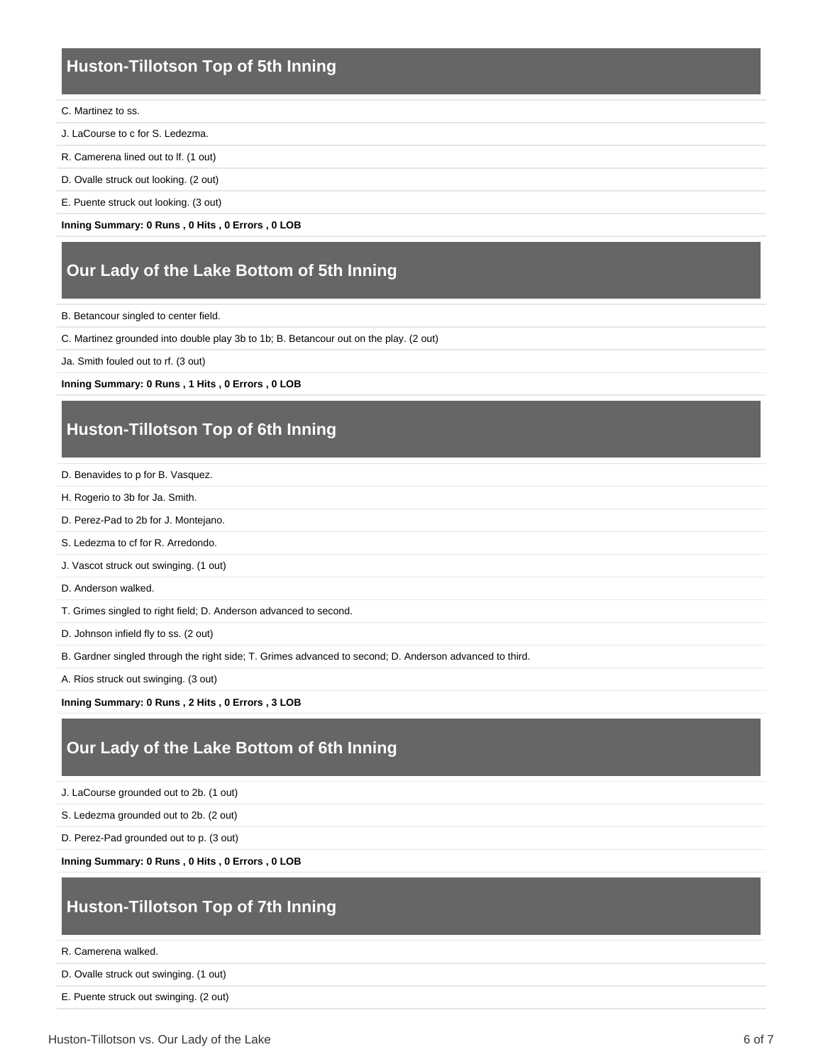### **Huston-Tillotson Top of 5th Inning**

#### C. Martinez to ss.

- J. LaCourse to c for S. Ledezma.
- R. Camerena lined out to lf. (1 out)
- D. Ovalle struck out looking. (2 out)
- E. Puente struck out looking. (3 out)

**Inning Summary: 0 Runs , 0 Hits , 0 Errors , 0 LOB**

### **Our Lady of the Lake Bottom of 5th Inning**

B. Betancour singled to center field.

C. Martinez grounded into double play 3b to 1b; B. Betancour out on the play. (2 out)

Ja. Smith fouled out to rf. (3 out)

#### **Inning Summary: 0 Runs , 1 Hits , 0 Errors , 0 LOB**

### **Huston-Tillotson Top of 6th Inning**

- D. Benavides to p for B. Vasquez.
- H. Rogerio to 3b for Ja. Smith.
- D. Perez-Pad to 2b for J. Montejano.
- S. Ledezma to cf for R. Arredondo.
- J. Vascot struck out swinging. (1 out)
- D. Anderson walked.
- T. Grimes singled to right field; D. Anderson advanced to second.
- D. Johnson infield fly to ss. (2 out)
- B. Gardner singled through the right side; T. Grimes advanced to second; D. Anderson advanced to third.

A. Rios struck out swinging. (3 out)

**Inning Summary: 0 Runs , 2 Hits , 0 Errors , 3 LOB**

### **Our Lady of the Lake Bottom of 6th Inning**

- J. LaCourse grounded out to 2b. (1 out)
- S. Ledezma grounded out to 2b. (2 out)
- D. Perez-Pad grounded out to p. (3 out)

**Inning Summary: 0 Runs , 0 Hits , 0 Errors , 0 LOB**

### **Huston-Tillotson Top of 7th Inning**

R. Camerena walked.

- D. Ovalle struck out swinging. (1 out)
- E. Puente struck out swinging. (2 out)